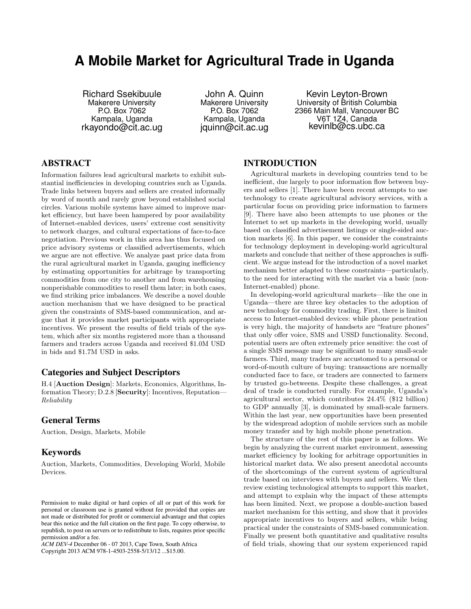# **A Mobile Market for Agricultural Trade in Uganda**

Richard Ssekibuule Makerere University P.O. Box 7062 Kampala, Uganda rkayondo@cit.ac.ug

John A. Quinn Makerere University P.O. Box 7062 Kampala, Uganda jquinn@cit.ac.ug

Kevin Leyton-Brown University of British Columbia 2366 Main Mall, Vancouver BC V6T 1Z4, Canada kevinlb@cs.ubc.ca

# ABSTRACT

Information failures lead agricultural markets to exhibit substantial inefficiencies in developing countries such as Uganda. Trade links between buyers and sellers are created informally by word of mouth and rarely grow beyond established social circles. Various mobile systems have aimed to improve market efficiency, but have been hampered by poor availability of Internet-enabled devices, users' extreme cost sensitivity to network charges, and cultural expectations of face-to-face negotiation. Previous work in this area has thus focused on price advisory systems or classified advertisements, which we argue are not effective. We analyze past price data from the rural agricultural market in Uganda, gauging inefficiency by estimating opportunities for arbitrage by transporting commodities from one city to another and from warehousing nonperishable commodities to resell them later; in both cases, we find striking price imbalances. We describe a novel double auction mechanism that we have designed to be practical given the constraints of SMS-based communication, and argue that it provides market participants with appropriate incentives. We present the results of field trials of the system, which after six months registered more than a thousand farmers and traders across Uganda and received \$1.0M USD in bids and \$1.7M USD in asks.

# Categories and Subject Descriptors

H.4 [Auction Design]: Markets, Economics, Algorithms, Information Theory; D.2.8 [Security]: Incentives, Reputation— Reliability

# General Terms

Auction, Design, Markets, Mobile

# Keywords

Auction, Markets, Commodities, Developing World, Mobile Devices.

*ACM DEV-4* December 06 - 07 2013, Cape Town, South Africa Copyright 2013 ACM 978-1-4503-2558-5/13/12 ...\$15.00.

# INTRODUCTION

Agricultural markets in developing countries tend to be inefficient, due largely to poor information flow between buyers and sellers [1]. There have been recent attempts to use technology to create agricultural advisory services, with a particular focus on providing price information to farmers [9]. There have also been attempts to use phones or the Internet to set up markets in the developing world, usually based on classified advertisement listings or single-sided auction markets [6]. In this paper, we consider the constraints for technology deployment in developing-world agricultural markets and conclude that neither of these approaches is sufficient. We argue instead for the introduction of a novel market mechanism better adapted to these constraints—particularly, to the need for interacting with the market via a basic (non-Internet-enabled) phone.

In developing-world agricultural markets—like the one in Uganda—there are three key obstacles to the adoption of new technology for commodity trading. First, there is limited access to Internet-enabled devices: while phone penetration is very high, the majority of handsets are "feature phones" that only offer voice, SMS and USSD functionality. Second, potential users are often extremely price sensitive: the cost of a single SMS message may be significant to many small-scale farmers. Third, many traders are accustomed to a personal or word-of-mouth culture of buying: transactions are normally conducted face to face, or traders are connected to farmers by trusted go-betweens. Despite these challenges, a great deal of trade is conducted rurally. For example, Uganda's agricultural sector, which contributes 24.4% (\$12 billion) to GDP annually [3], is dominated by small-scale farmers. Within the last year, new opportunities have been presented by the widespread adoption of mobile services such as mobile money transfer and by high mobile phone penetration.

The structure of the rest of this paper is as follows. We begin by analyzing the current market environment, assessing market efficiency by looking for arbitrage opportunities in historical market data. We also present anecdotal accounts of the shortcomings of the current system of agricultural trade based on interviews with buyers and sellers. We then review existing technological attempts to support this market, and attempt to explain why the impact of these attempts has been limited. Next, we propose a double-auction based market mechanism for this setting, and show that it provides appropriate incentives to buyers and sellers, while being practical under the constraints of SMS-based communication. Finally we present both quantitative and qualitative results of field trials, showing that our system experienced rapid

Permission to make digital or hard copies of all or part of this work for personal or classroom use is granted without fee provided that copies are not made or distributed for profit or commercial advantage and that copies bear this notice and the full citation on the first page. To copy otherwise, to republish, to post on servers or to redistribute to lists, requires prior specific permission and/or a fee.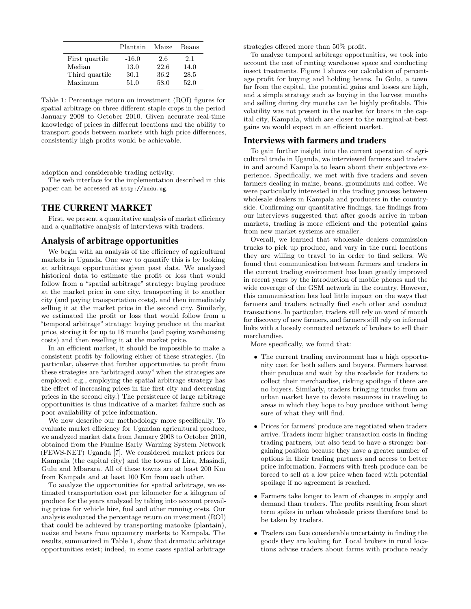|                | Plantain | Maize | Beans |
|----------------|----------|-------|-------|
| First quartile | $-16.0$  | 2.6   | 2.1   |
| Median         | 13.0     | 22.6  | 14.0  |
| Third quartile | 30.1     | 36.2  | 28.5  |
| Maximum        | 51.0     | 58.0  | 52.0  |

Table 1: Percentage return on investment (ROI) figures for spatial arbitrage on three different staple crops in the period January 2008 to October 2010. Given accurate real-time knowledge of prices in different locations and the ability to transport goods between markets with high price differences, consistently high profits would be achievable.

adoption and considerable trading activity.

The web interface for the implementation described in this paper can be accessed at http://kudu.ug.

## THE CURRENT MARKET

First, we present a quantitative analysis of market efficiency and a qualitative analysis of interviews with traders.

## Analysis of arbitrage opportunities

We begin with an analysis of the efficiency of agricultural markets in Uganda. One way to quantify this is by looking at arbitrage opportunities given past data. We analyzed historical data to estimate the profit or loss that would follow from a "spatial arbitrage" strategy: buying produce at the market price in one city, transporting it to another city (and paying transportation costs), and then immediately selling it at the market price in the second city. Similarly, we estimated the profit or loss that would follow from a "temporal arbitrage" strategy: buying produce at the market price, storing it for up to 18 months (and paying warehousing costs) and then reselling it at the market price.

In an efficient market, it should be impossible to make a consistent profit by following either of these strategies. (In particular, observe that further opportunities to profit from these strategies are "arbitraged away" when the strategies are employed: e.g., employing the spatial arbitrage strategy has the effect of increasing prices in the first city and decreasing prices in the second city.) The persistence of large arbitrage opportunities is thus indicative of a market failure such as poor availability of price information.

We now describe our methodology more specifically. To evaluate market efficiency for Ugandan agricultural produce, we analyzed market data from January 2008 to October 2010, obtained from the Famine Early Warning System Network (FEWS-NET) Uganda [7]. We considered market prices for Kampala (the capital city) and the towns of Lira, Masindi, Gulu and Mbarara. All of these towns are at least 200 Km from Kampala and at least 100 Km from each other.

To analyze the opportunities for spatial arbitrage, we estimated transportation cost per kilometer for a kilogram of produce for the years analyzed by taking into account prevailing prices for vehicle hire, fuel and other running costs. Our analysis evaluated the percentage return on investment (ROI) that could be achieved by transporting matooke (plantain), maize and beans from upcountry markets to Kampala. The results, summarized in Table 1, show that dramatic arbitrage opportunities exist; indeed, in some cases spatial arbitrage

strategies offered more than 50% profit.

To analyze temporal arbitrage opportunities, we took into account the cost of renting warehouse space and conducting insect treatments. Figure 1 shows our calculation of percentage profit for buying and holding beans. In Gulu, a town far from the capital, the potential gains and losses are high, and a simple strategy such as buying in the harvest months and selling during dry months can be highly profitable. This volatility was not present in the market for beans in the capital city, Kampala, which are closer to the marginal-at-best gains we would expect in an efficient market.

#### Interviews with farmers and traders

To gain further insight into the current operation of agricultural trade in Uganda, we interviewed farmers and traders in and around Kampala to learn about their subjective experience. Specifically, we met with five traders and seven farmers dealing in maize, beans, groundnuts and coffee. We were particularly interested in the trading process between wholesale dealers in Kampala and producers in the countryside. Confirming our quantitative findings, the findings from our interviews suggested that after goods arrive in urban markets, trading is more efficient and the potential gains from new market systems are smaller.

Overall, we learned that wholesale dealers commission trucks to pick up produce, and vary in the rural locations they are willing to travel to in order to find sellers. We found that communication between farmers and traders in the current trading environment has been greatly improved in recent years by the introduction of mobile phones and the wide coverage of the GSM network in the country. However, this communication has had little impact on the ways that farmers and traders actually find each other and conduct transactions. In particular, traders still rely on word of mouth for discovery of new farmers, and farmers still rely on informal links with a loosely connected network of brokers to sell their merchandise.

More specifically, we found that:

- The current trading environment has a high opportunity cost for both sellers and buyers. Farmers harvest their produce and wait by the roadside for traders to collect their merchandise, risking spoilage if there are no buyers. Similarly, traders bringing trucks from an urban market have to devote resources in traveling to areas in which they hope to buy produce without being sure of what they will find.
- Prices for farmers' produce are negotiated when traders arrive. Traders incur higher transaction costs in finding trading partners, but also tend to have a stronger bargaining position because they have a greater number of options in their trading partners and access to better price information. Farmers with fresh produce can be forced to sell at a low price when faced with potential spoilage if no agreement is reached.
- Farmers take longer to learn of changes in supply and demand than traders. The profits resulting from short term spikes in urban wholesale prices therefore tend to be taken by traders.
- Traders can face considerable uncertainty in finding the goods they are looking for. Local brokers in rural locations advise traders about farms with produce ready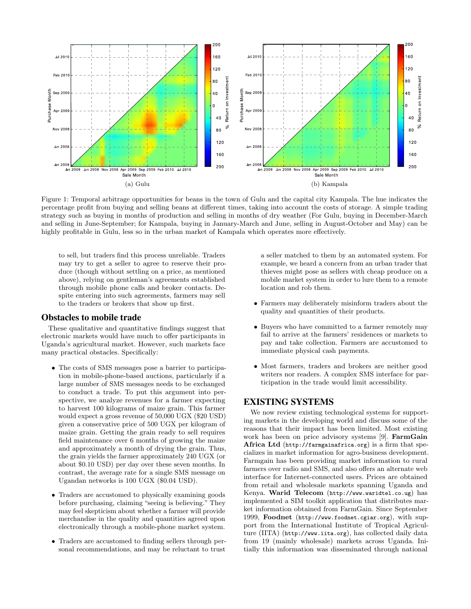

Figure 1: Temporal arbitrage opportunities for beans in the town of Gulu and the capital city Kampala. The hue indicates the percentage profit from buying and selling beans at different times, taking into account the costs of storage. A simple trading strategy such as buying in months of production and selling in months of dry weather (For Gulu, buying in December-March and selling in June-September; for Kampala, buying in January-March and June, selling in August-October and May) can be highly profitable in Gulu, less so in the urban market of Kampala which operates more effectively.

to sell, but traders find this process unreliable. Traders may try to get a seller to agree to reserve their produce (though without settling on a price, as mentioned above), relying on gentleman's agreements established through mobile phone calls and broker contacts. Despite entering into such agreements, farmers may sell to the traders or brokers that show up first.

#### Obstacles to mobile trade

These qualitative and quantitative findings suggest that electronic markets would have much to offer participants in Uganda's agricultural market. However, such markets face many practical obstacles. Specifically:

- The costs of SMS messages pose a barrier to participation in mobile-phone-based auctions, particularly if a large number of SMS messages needs to be exchanged to conduct a trade. To put this argument into perspective, we analyze revenues for a farmer expecting to harvest 100 kilograms of maize grain. This farmer would expect a gross revenue of 50,000 UGX (\$20 USD) given a conservative price of 500 UGX per kilogram of maize grain. Getting the grain ready to sell requires field maintenance over 6 months of growing the maize and approximately a month of drying the grain. Thus, the grain yields the farmer approximately 240 UGX (or about \$0.10 USD) per day over these seven months. In contrast, the average rate for a single SMS message on Ugandan networks is 100 UGX (\$0.04 USD).
- Traders are accustomed to physically examining goods before purchasing, claiming "seeing is believing." They may feel skepticism about whether a farmer will provide merchandise in the quality and quantities agreed upon electronically through a mobile-phone market system.
- Traders are accustomed to finding sellers through personal recommendations, and may be reluctant to trust

a seller matched to them by an automated system. For example, we heard a concern from an urban trader that thieves might pose as sellers with cheap produce on a mobile market system in order to lure them to a remote location and rob them.

- Farmers may deliberately misinform traders about the quality and quantities of their products.
- Buyers who have committed to a farmer remotely may fail to arrive at the farmers' residences or markets to pay and take collection. Farmers are accustomed to immediate physical cash payments.
- Most farmers, traders and brokers are neither good writers nor readers. A complex SMS interface for participation in the trade would limit accessibility.

# EXISTING SYSTEMS

We now review existing technological systems for supporting markets in the developing world and discuss some of the reasons that their impact has been limited. Most existing work has been on price advisory systems [9]. FarmGain Africa Ltd (http://farmgainafrica.org) is a firm that specializes in market information for agro-business development. Farmgain has been providing market information to rural farmers over radio and SMS, and also offers an alternate web interface for Internet-connected users. Prices are obtained from retail and wholesale markets spanning Uganda and Kenya. Warid Telecom (http://www.waridtel.co.ug) has implemented a SIM toolkit application that distributes market information obtained from FarmGain. Since September 1999, Foodnet (http://www.foodnet.cgiar.org), with support from the International Institute of Tropical Agriculture (IITA) (http://www.iita.org), has collected daily data from 19 (mainly wholesale) markets across Uganda. Initially this information was disseminated through national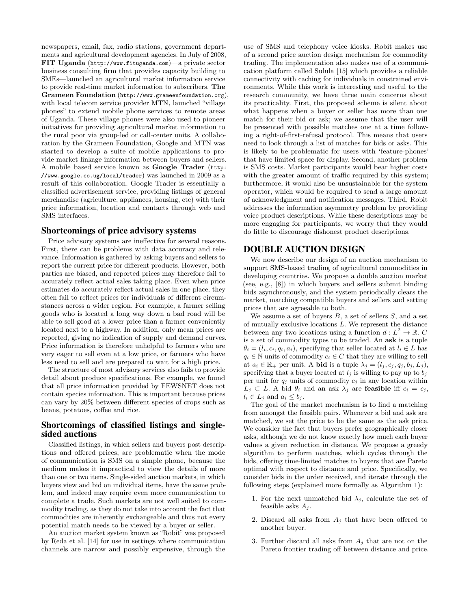newspapers, email, fax, radio stations, government departments and agricultural development agencies. In July of 2008, FIT Uganda (http://www.fituganda.com)—a private sector business consulting firm that provides capacity building to SMEs—launched an agricultural market information service to provide real-time market information to subscribers. The Grameen Foundation (http://www.grameenfoundation.org), with local telecom service provider MTN, launched "village phones" to extend mobile phone services to remote areas of Uganda. These village phones were also used to pioneer initiatives for providing agricultural market information to the rural poor via group-led or call-center units. A collaboration by the Grameen Foundation, Google and MTN was started to develop a suite of mobile applications to provide market linkage information between buyers and sellers. A mobile based service known as Google Trader (http: //www.google.co.ug/local/trader) was launched in 2009 as a result of this collaboration. Google Trader is essentially a classified advertisement service, providing listings of general merchandise (agriculture, appliances, housing, etc) with their price information, location and contacts through web and SMS interfaces.

#### Shortcomings of price advisory systems

Price advisory systems are ineffective for several reasons. First, there can be problems with data accuracy and relevance. Information is gathered by asking buyers and sellers to report the current price for different products. However, both parties are biased, and reported prices may therefore fail to accurately reflect actual sales taking place. Even when price estimates do accurately reflect actual sales in one place, they often fail to reflect prices for individuals of different circumstances across a wider region. For example, a farmer selling goods who is located a long way down a bad road will be able to sell good at a lower price than a farmer conveniently located next to a highway. In addition, only mean prices are reported, giving no indication of supply and demand curves. Price information is therefore unhelpful to farmers who are very eager to sell even at a low price, or farmers who have less need to sell and are prepared to wait for a high price.

The structure of most advisory services also fails to provide detail about produce specifications. For example, we found that all price information provided by FEWSNET does not contain species information. This is important because prices can vary by 20% between different species of crops such as beans, potatoes, coffee and rice.

# Shortcomings of classified listings and singlesided auctions

Classified listings, in which sellers and buyers post descriptions and offered prices, are problematic when the mode of communication is SMS on a simple phone, because the medium makes it impractical to view the details of more than one or two items. Single-sided auction markets, in which buyers view and bid on individual items, have the same problem, and indeed may require even more communication to complete a trade. Such markets are not well suited to commodity trading, as they do not take into account the fact that commodities are inherently exchangeable and thus not every potential match needs to be viewed by a buyer or seller.

An auction market system known as "Robit" was proposed by Reda et al. [14] for use in settings where communication channels are narrow and possibly expensive, through the use of SMS and telephony voice kiosks. Robit makes use of a second price auction design mechanism for commodity trading. The implementation also makes use of a communication platform called Sulula [15] which provides a reliable connectivity with caching for individuals in constrained environments. While this work is interesting and useful to the research community, we have three main concerns about its practicality. First, the proposed scheme is silent about what happens when a buyer or seller has more than one match for their bid or ask; we assume that the user will be presented with possible matches one at a time following a right-of-first-refusal protocol. This means that users need to look through a list of matches for bids or asks. This is likely to be problematic for users with 'feature-phones' that have limited space for display. Second, another problem is SMS costs. Market participants would bear higher costs with the greater amount of traffic required by this system; furthermore, it would also be unsustainable for the system operator, which would be required to send a large amount of acknowledgment and notification messages. Third, Robit addresses the information asymmetry problem by providing voice product descriptions. While these descriptions may be more engaging for participants, we worry that they would do little to discourage dishonest product descriptions.

## DOUBLE AUCTION DESIGN

We now describe our design of an auction mechanism to support SMS-based trading of agricultural commodities in developing countries. We propose a double auction market (see, e.g., [8]) in which buyers and sellers submit binding bids asynchronously, and the system periodically clears the market, matching compatible buyers and sellers and setting prices that are agreeable to both.

We assume a set of buyers  $B$ , a set of sellers  $S$ , and a set of mutually exclusive locations L. We represent the distance between any two locations using a function  $d: L^2 \to \mathbb{R}$ . C is a set of commodity types to be traded. An ask is a tuple  $\theta_i = (l_i, c_i, q_i, a_i)$ , specifying that seller located at  $l_i \in L$  has  $q_i \in \mathbb{N}$  units of commodity  $c_i \in C$  that they are willing to sell at  $a_i \in \mathbb{R}_+$  per unit. A **bid** is a tuple  $\lambda_j = (l_j, c_j, q_j, b_j, L_j)$ , specifying that a buyer located at  $l_i$  is willing to pay up to  $b_i$ per unit for  $q_j$  units of commodity  $c_j$  in any location within  $L_j \subset L$ . A bid  $\theta_i$  and an ask  $\lambda_j$  are **feasible** iff  $c_i = c_j$ ,  $l_i \in L_j$  and  $a_i \leq b_j$ .

The goal of the market mechanism is to find a matching from amongst the feasible pairs. Whenever a bid and ask are matched, we set the price to be the same as the ask price. We consider the fact that buyers prefer geographically closer asks, although we do not know exactly how much each buyer values a given reduction in distance. We propose a greedy algorithm to perform matches, which cycles through the bids, offering time-limited matches to buyers that are Pareto optimal with respect to distance and price. Specifically, we consider bids in the order received, and iterate through the following steps (explained more formally as Algorithm 1):

- 1. For the next unmatched bid  $\lambda_i$ , calculate the set of feasible asks  $A_i$ .
- 2. Discard all asks from  $A_i$  that have been offered to another buyer.
- 3. Further discard all asks from  $A_j$  that are not on the Pareto frontier trading off between distance and price.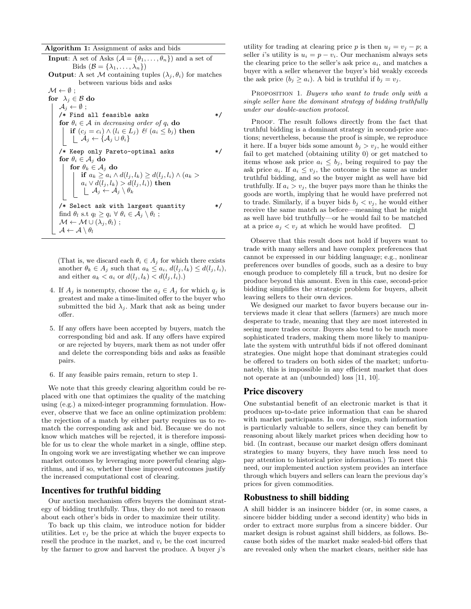Algorithm 1: Assignment of asks and bids

 $\mathcal{A} \leftarrow \mathcal{A} \setminus \theta_l$ 

**Input:** A set of Asks  $(A = \{\theta_1, \ldots, \theta_n\})$  and a set of Bids  $(\mathcal{B} = {\lambda_1, \ldots, \lambda_n} )$ **Output:** A set M containing tuples  $(\lambda_i, \theta_i)$  for matches between various bids and asks  $\mathcal{M} \leftarrow \emptyset$ ; for  $\lambda_i \in \mathcal{B}$  do  $A_i \leftarrow \emptyset$ ;  $/*$  Find all feasible asks  $*/$ for  $\theta_i \in A$  in decreasing order of  $q_i$  do if  $(c_j = c_i) \wedge (l_i \in L_j) \mathcal{B} (a_i \leq b_j)$  then  $\mathcal{A}_j \leftarrow \{ \mathcal{A}_j \cup \theta_i \}$ /\* Keep only Pareto-optimal asks \*/ for  $\theta_i \in A_j$  do for  $\theta_k \in A_j$  do if  $a_k \ge a_i \wedge d(l_j, l_k) \ge d(l_j, l_i) \wedge (a_k >$  $a_i\vee d(l_j,l_k)>d(l_j,l_i))$  then  $\mathcal{A}_j \leftarrow \mathcal{A}_j \setminus \theta_k$ /\* Select ask with largest quantity \*/ find  $\theta_l$  s.t  $q_l \ge q_i \ \forall \ \theta_i \in \mathcal{A}_j \setminus \theta_l$ ;  $\mathcal{M} \leftarrow \mathcal{M} \cup (\lambda_j, \theta_l)$ ;

(That is, we discard each  $\theta_i \in A_j$  for which there exists another  $\theta_k \in A_j$  such that  $a_k \leq a_i$ ,  $d(l_j, l_k) \leq d(l_j, l_i)$ , and either  $a_k < a_i$  or  $d(l_j, l_k) < d(l_j, l_i)$ .

- 4. If  $A_j$  is nonempty, choose the  $a_j \in A_j$  for which  $q_j$  is greatest and make a time-limited offer to the buyer who submitted the bid  $\lambda_i$ . Mark that ask as being under offer.
- 5. If any offers have been accepted by buyers, match the corresponding bid and ask. If any offers have expired or are rejected by buyers, mark them as not under offer and delete the corresponding bids and asks as feasible pairs.
- 6. If any feasible pairs remain, return to step 1.

We note that this greedy clearing algorithm could be replaced with one that optimizes the quality of the matching using (e.g.) a mixed-integer programming formulation. However, observe that we face an online optimization problem: the rejection of a match by either party requires us to rematch the corresponding ask and bid. Because we do not know which matches will be rejected, it is therefore impossible for us to clear the whole market in a single, offline step. In ongoing work we are investigating whether we can improve market outcomes by leveraging more powerful clearing algorithms, and if so, whether these improved outcomes justify the increased computational cost of clearing.

# Incentives for truthful bidding

Our auction mechanism offers buyers the dominant strategy of bidding truthfully. Thus, they do not need to reason about each other's bids in order to maximize their utility.

To back up this claim, we introduce notion for bidder utilities. Let  $v_j$  be the price at which the buyer expects to resell the produce in the market, and  $v_i$  be the cost incurred by the farmer to grow and harvest the produce. A buyer  $j$ 's utility for trading at clearing price p is then  $u_i = v_i - p$ ; a seller *i*'s utility is  $u_i = p - v_i$ . Our mechanism always sets the clearing price to the seller's ask price  $a_i$ , and matches a buyer with a seller whenever the buyer's bid weakly exceeds the ask price  $(b_j \geq a_i)$ . A bid is truthful if  $b_j = v_j$ .

PROPOSITION 1. Buyers who want to trade only with a single seller have the dominant strategy of bidding truthfully under our double-auction protocol.

PROOF. The result follows directly from the fact that truthful bidding is a dominant strategy in second-price auctions; nevertheless, because the proof is simple, we reproduce it here. If a buyer bids some amount  $b_i > v_i$ , he would either fail to get matched (obtaining utility 0) or get matched to items whose ask price  $a_i \leq b_j$ , being required to pay the ask price  $a_i$ . If  $a_i \leq v_i$ , the outcome is the same as under truthful bidding, and so the buyer might as well have bid truthfully. If  $a_i > v_j$ , the buyer pays more than he thinks the goods are worth, implying that he would have preferred not to trade. Similarly, if a buyer bids  $b_i < v_i$ , he would either receive the same match as before—meaning that he might as well have bid truthfully—or he would fail to be matched at a price  $a_i < v_i$  at which he would have profited.  $\Box$ 

Observe that this result does not hold if buyers want to trade with many sellers and have complex preferences that cannot be expressed in our bidding language; e.g., nonlinear preferences over bundles of goods, such as a desire to buy enough produce to completely fill a truck, but no desire for produce beyond this amount. Even in this case, second-price bidding simplifies the strategic problem for buyers, albeit leaving sellers to their own devices.

We designed our market to favor buyers because our interviews made it clear that sellers (farmers) are much more desperate to trade, meaning that they are most interested in seeing more trades occur. Buyers also tend to be much more sophisticated traders, making them more likely to manipulate the system with untruthful bids if not offered dominant strategies. One might hope that dominant strategies could be offered to traders on both sides of the market; unfortunately, this is impossible in any efficient market that does not operate at an (unbounded) loss [11, 10].

## Price discovery

One substantial benefit of an electronic market is that it produces up-to-date price information that can be shared with market participants. In our design, such information is particularly valuable to sellers, since they can benefit by reasoning about likely market prices when deciding how to bid. (In contrast, because our market design offers dominant strategies to many buyers, they have much less need to pay attention to historical price information.) To meet this need, our implemented auction system provides an interface through which buyers and sellers can learn the previous day's prices for given commodities.

## Robustness to shill bidding

A shill bidder is an insincere bidder (or, in some cases, a sincere bidder bidding under a second identity) who bids in order to extract more surplus from a sincere bidder. Our market design is robust against shill bidders, as follows. Because both sides of the market make sealed-bid offers that are revealed only when the market clears, neither side has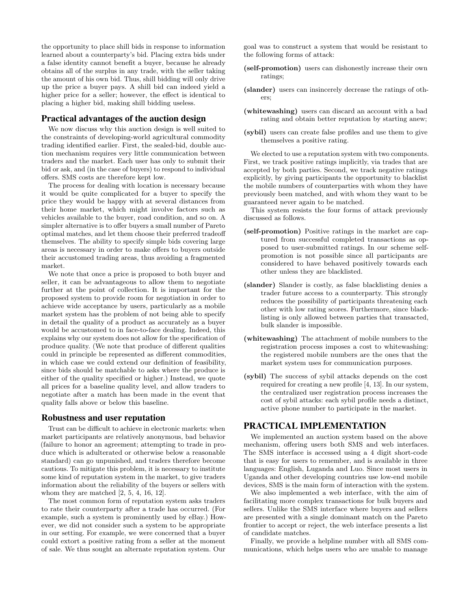the opportunity to place shill bids in response to information learned about a counterparty's bid. Placing extra bids under a false identity cannot benefit a buyer, because he already obtains all of the surplus in any trade, with the seller taking the amount of his own bid. Thus, shill bidding will only drive up the price a buyer pays. A shill bid can indeed yield a higher price for a seller; however, the effect is identical to placing a higher bid, making shill bidding useless.

#### Practical advantages of the auction design

We now discuss why this auction design is well suited to the constraints of developing-world agricultural commodity trading identified earlier. First, the sealed-bid, double auction mechanism requires very little communication between traders and the market. Each user has only to submit their bid or ask, and (in the case of buyers) to respond to individual offers. SMS costs are therefore kept low.

The process for dealing with location is necessary because it would be quite complicated for a buyer to specify the price they would be happy with at several distances from their home market, which might involve factors such as vehicles available to the buyer, road condition, and so on. A simpler alternative is to offer buyers a small number of Pareto optimal matches, and let them choose their preferred tradeoff themselves. The ability to specify simple bids covering large areas is necessary in order to make offers to buyers outside their accustomed trading areas, thus avoiding a fragmented market.

We note that once a price is proposed to both buyer and seller, it can be advantageous to allow them to negotiate further at the point of collection. It is important for the proposed system to provide room for negotiation in order to achieve wide acceptance by users, particularly as a mobile market system has the problem of not being able to specify in detail the quality of a product as accurately as a buyer would be accustomed to in face-to-face dealing. Indeed, this explains why our system does not allow for the specification of produce quality. (We note that produce of different qualities could in principle be represented as different commodities, in which case we could extend our definition of feasibility, since bids should be matchable to asks where the produce is either of the quality specified or higher.) Instead, we quote all prices for a baseline quality level, and allow traders to negotiate after a match has been made in the event that quality falls above or below this baseline.

#### Robustness and user reputation

Trust can be difficult to achieve in electronic markets: when market participants are relatively anonymous, bad behavior (failure to honor an agreement; attempting to trade in produce which is adulterated or otherwise below a reasonable standard) can go unpunished, and traders therefore become cautious. To mitigate this problem, it is necessary to institute some kind of reputation system in the market, to give traders information about the reliability of the buyers or sellers with whom they are matched  $[2, 5, 4, 16, 12]$ .

The most common form of reputation system asks traders to rate their counterparty after a trade has occurred. (For example, such a system is prominently used by eBay.) However, we did not consider such a system to be appropriate in our setting. For example, we were concerned that a buyer could extort a positive rating from a seller at the moment of sale. We thus sought an alternate reputation system. Our goal was to construct a system that would be resistant to the following forms of attack:

- (self-promotion) users can dishonestly increase their own ratings;
- (slander) users can insincerely decrease the ratings of others;
- (whitewashing) users can discard an account with a bad rating and obtain better reputation by starting anew;
- (sybil) users can create false profiles and use them to give themselves a positive rating.

We elected to use a reputation system with two components. First, we track positive ratings implicitly, via trades that are accepted by both parties. Second, we track negative ratings explicitly, by giving participants the opportunity to blacklist the mobile numbers of counterparties with whom they have previously been matched, and with whom they want to be guaranteed never again to be matched.

This system resists the four forms of attack previously discussed as follows.

- (self-promotion) Positive ratings in the market are captured from successful completed transactions as opposed to user-submitted ratings. In our scheme selfpromotion is not possible since all participants are considered to have behaved positively towards each other unless they are blacklisted.
- (slander) Slander is costly, as false blacklisting denies a trader future access to a counterparty. This strongly reduces the possibility of participants threatening each other with low rating scores. Furthermore, since blacklisting is only allowed between parties that transacted, bulk slander is impossible.
- (whitewashing) The attachment of mobile numbers to the registration process imposes a cost to whitewashing: the registered mobile numbers are the ones that the market system uses for communication purposes.
- (sybil) The success of sybil attacks depends on the cost required for creating a new profile [4, 13]. In our system, the centralized user registration process increases the cost of sybil attacks: each sybil profile needs a distinct, active phone number to participate in the market.

# PRACTICAL IMPLEMENTATION

We implemented an auction system based on the above mechanism, offering users both SMS and web interfaces. The SMS interface is accessed using a 4 digit short-code that is easy for users to remember, and is available in three languages: English, Luganda and Luo. Since most users in Uganda and other developing countries use low-end mobile devices, SMS is the main form of interaction with the system.

We also implemented a web interface, with the aim of facilitating more complex transactions for bulk buyers and sellers. Unlike the SMS interface where buyers and sellers are presented with a single dominant match on the Pareto frontier to accept or reject, the web interface presents a list of candidate matches.

Finally, we provide a helpline number with all SMS communications, which helps users who are unable to manage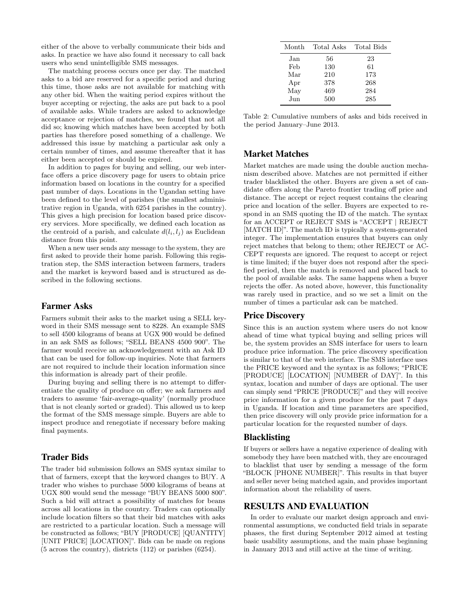either of the above to verbally communicate their bids and asks. In practice we have also found it necessary to call back users who send unintelligible SMS messages.

The matching process occurs once per day. The matched asks to a bid are reserved for a specific period and during this time, those asks are not available for matching with any other bid. When the waiting period expires without the buyer accepting or rejecting, the asks are put back to a pool of available asks. While traders are asked to acknowledge acceptance or rejection of matches, we found that not all did so; knowing which matches have been accepted by both parties has therefore posed something of a challenge. We addressed this issue by matching a particular ask only a certain number of times, and assume thereafter that it has either been accepted or should be expired.

In addition to pages for buying and selling, our web interface offers a price discovery page for users to obtain price information based on locations in the country for a specified past number of days. Locations in the Ugandan setting have been defined to the level of parishes (the smallest administrative region in Uganda, with 6254 parishes in the country). This gives a high precision for location based price discovery services. More specifically, we defined each location as the centroid of a parish, and calculate  $d(l_i, l_j)$  as Euclidean distance from this point.

When a new user sends any message to the system, they are first asked to provide their home parish. Following this registration step, the SMS interaction between farmers, traders and the market is keyword based and is structured as described in the following sections.

## Farmer Asks

Farmers submit their asks to the market using a SELL keyword in their SMS message sent to 8228. An example SMS to sell 4500 kilograms of beans at UGX 900 would be defined in an ask SMS as follows; "SELL BEANS 4500 900". The farmer would receive an acknowledgement with an Ask ID that can be used for follow-up inquiries. Note that farmers are not required to include their location information since this information is already part of their profile.

During buying and selling there is no attempt to differentiate the quality of produce on offer; we ask farmers and traders to assume 'fair-average-quality' (normally produce that is not cleanly sorted or graded). This allowed us to keep the format of the SMS message simple. Buyers are able to inspect produce and renegotiate if necessary before making final payments.

# Trader Bids

The trader bid submission follows an SMS syntax similar to that of farmers, except that the keyword changes to BUY. A trader who wishes to purchase 5000 kilograms of beans at UGX 800 would send the message "BUY BEANS 5000 800". Such a bid will attract a possibility of matches for beans across all locations in the country. Traders can optionally include location filters so that their bid matches with asks are restricted to a particular location. Such a message will be constructed as follows; "BUY [PRODUCE] [QUANTITY] [UNIT PRICE] [LOCATION]". Bids can be made on regions (5 across the country), districts (112) or parishes (6254).

| Month | Total Asks | Total Bids |
|-------|------------|------------|
| Jan   | 56         | 23         |
| Feb   | 130        | 61         |
| Mar   | 210        | 173        |
| Apr   | 378        | 268        |
| May   | 469        | 284        |
| Jun   | 500        | 285        |

Table 2: Cumulative numbers of asks and bids received in the period January–June 2013.

# Market Matches

Market matches are made using the double auction mechanism described above. Matches are not permitted if either trader blacklisted the other. Buyers are given a set of candidate offers along the Pareto frontier trading off price and distance. The accept or reject request contains the clearing price and location of the seller. Buyers are expected to respond in an SMS quoting the ID of the match. The syntax for an ACCEPT or REJECT SMS is "ACCEPT | REJECT [MATCH ID]". The match ID is typically a system-generated integer. The implementation ensures that buyers can only reject matches that belong to them; other REJECT or AC-CEPT requests are ignored. The request to accept or reject is time limited; if the buyer does not respond after the specified period, then the match is removed and placed back to the pool of available asks. The same happens when a buyer rejects the offer. As noted above, however, this functionality was rarely used in practice, and so we set a limit on the number of times a particular ask can be matched.

#### Price Discovery

Since this is an auction system where users do not know ahead of time what typical buying and selling prices will be, the system provides an SMS interface for users to learn produce price information. The price discovery specification is similar to that of the web interface. The SMS interface uses the PRICE keyword and the syntax is as follows; "PRICE [PRODUCE] [LOCATION] [NUMBER of DAY]". In this syntax, location and number of days are optional. The user can simply send "PRICE [PRODUCE]" and they will receive price information for a given produce for the past 7 days in Uganda. If location and time parameters are specified, then price discovery will only provide price information for a particular location for the requested number of days.

#### Blacklisting

If buyers or sellers have a negative experience of dealing with somebody they have been matched with, they are encouraged to blacklist that user by sending a message of the form "BLOCK [PHONE NUMBER]". This results in that buyer and seller never being matched again, and provides important information about the reliability of users.

## RESULTS AND EVALUATION

In order to evaluate our market design approach and environmental assumptions, we conducted field trials in separate phases, the first during September 2012 aimed at testing basic usability assumptions, and the main phase beginning in January 2013 and still active at the time of writing.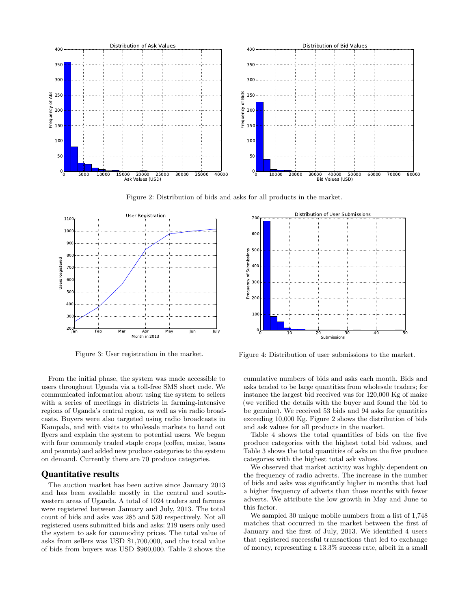

Figure 2: Distribution of bids and asks for all products in the market.



Figure 3: User registration in the market.

From the initial phase, the system was made accessible to users throughout Uganda via a toll-free SMS short code. We communicated information about using the system to sellers with a series of meetings in districts in farming-intensive regions of Uganda's central region, as well as via radio broadcasts. Buyers were also targeted using radio broadcasts in Kampala, and with visits to wholesale markets to hand out flyers and explain the system to potential users. We began with four commonly traded staple crops (coffee, maize, beans and peanuts) and added new produce categories to the system on demand. Currently there are 70 produce categories.

## Quantitative results

The auction market has been active since January 2013 and has been available mostly in the central and southwestern areas of Uganda. A total of 1024 traders and farmers were registered between January and July, 2013. The total count of bids and asks was 285 and 520 respectively. Not all registered users submitted bids and asks: 219 users only used the system to ask for commodity prices. The total value of asks from sellers was USD \$1,700,000, and the total value of bids from buyers was USD \$960,000. Table 2 shows the



Figure 4: Distribution of user submissions to the market.

cumulative numbers of bids and asks each month. Bids and asks tended to be large quantities from wholesale traders; for instance the largest bid received was for 120,000 Kg of maize (we verified the details with the buyer and found the bid to be genuine). We received 53 bids and 94 asks for quantities exceeding 10,000 Kg. Figure 2 shows the distribution of bids and ask values for all products in the market.

Table 4 shows the total quantities of bids on the five produce categories with the highest total bid values, and Table 3 shows the total quantities of asks on the five produce categories with the highest total ask values.

We observed that market activity was highly dependent on the frequency of radio adverts. The increase in the number of bids and asks was significantly higher in months that had a higher frequency of adverts than those months with fewer adverts. We attribute the low growth in May and June to this factor.

We sampled 30 unique mobile numbers from a list of 1,748 matches that occurred in the market between the first of January and the first of July, 2013. We identified 4 users that registered successful transactions that led to exchange of money, representing a 13.3% success rate, albeit in a small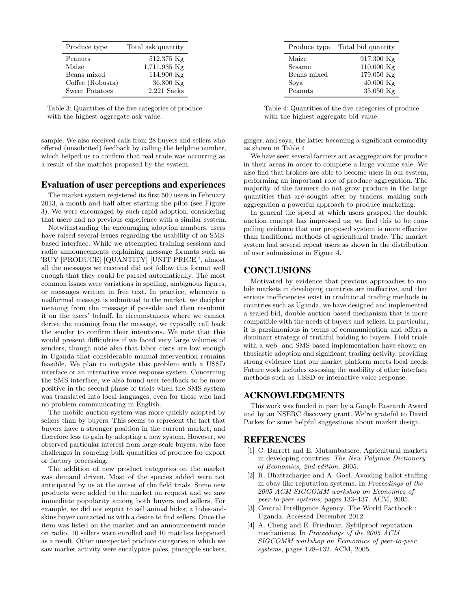| Produce type     | Total ask quantity |
|------------------|--------------------|
| Peanuts          | 512,375 Kg         |
| Maize            | 1,711,935 Kg       |
| Beans mixed      | 114,900 Kg         |
| Coffee (Robusta) | 36,800 Kg          |
| Sweet Potatoes   | $2,221$ Sacks      |

Table 3: Quantities of the five categories of produce with the highest aggregate ask value.

sample. We also received calls from 28 buyers and sellers who offered (unsolicited) feedback by calling the helpline number, which helped us to confirm that real trade was occurring as a result of the matches proposed by the system.

#### Evaluation of user perceptions and experiences

The market system registered its first 500 users in February 2013, a month and half after starting the pilot (see Figure 3). We were encouraged by such rapid adoption, considering that users had no previous experience with a similar system.

Notwithstanding the encouraging adoption numbers, users have raised several issues regarding the usability of an SMSbased interface. While we attempted training sessions and radio announcements explaining message formats such as 'BUY [PRODUCE] [QUANTITY] [UNIT PRICE]', almost all the messages we received did not follow this format well enough that they could be parsed automatically. The most common issues were variations in spelling, ambiguous figures, or messages written in free text. In practice, whenever a malformed message is submitted to the market, we decipher meaning from the message if possible and then resubmit it on the users' behalf. In circumstances where we cannot derive the meaning from the message, we typically call back the sender to confirm their intentions. We note that this would present difficulties if we faced very large volumes of senders, though note also that labor costs are low enough in Uganda that considerable manual intervention remains feasible. We plan to mitigate this problem with a USSD interface or an interactive voice response system. Concerning the SMS interface, we also found user feedback to be more positive in the second phase of trials when the SMS system was translated into local languages, even for those who had no problem communicating in English.

The mobile auction system was more quickly adopted by sellers than by buyers. This seems to represent the fact that buyers have a stronger position in the current market, and therefore less to gain by adopting a new system. However, we observed particular interest from large-scale buyers, who face challenges in sourcing bulk quantities of produce for export or factory processing.

The addition of new product categories on the market was demand driven. Most of the species added were not anticipated by us at the outset of the field trials. Some new products were added to the market on request and we saw immediate popularity among both buyers and sellers. For example, we did not expect to sell animal hides; a hides-andskins buyer contacted us with a desire to find sellers. Once the item was listed on the market and an announcement made on radio, 10 sellers were enrolled and 10 matches happened as a result. Other unexpected produce categories in which we saw market activity were eucalyptus poles, pineapple suckers,

| Produce type | Total bid quantity |
|--------------|--------------------|
| Maize        | $917,300$ Kg       |
| Sesame       | 110,000 Kg         |
| Beans mixed  | 179,050 Kg         |
| Sova         | $40,000$ Kg        |
| Peanuts      | 35,050 Kg          |

Table 4: Quantities of the five categories of produce with the highest aggregate bid value.

ginger, and soya, the latter becoming a significant commodity as shown in Table 4.

We have seen several farmers act as aggregators for produce in their areas in order to complete a large volume sale. We also find that brokers are able to become users in our system, performing an important role of produce aggregation. The majority of the farmers do not grow produce in the large quantities that are sought after by traders, making such aggregation a powerful approach to produce marketing.

In general the speed at which users grasped the double auction concept has impressed us; we find this to be compelling evidence that our proposed system is more effective than traditional methods of agricultural trade. The market system had several repeat users as shown in the distribution of user submissions in Figure 4.

# **CONCLUSIONS**

Motivated by evidence that previous approaches to mobile markets in developing countries are ineffective, and that serious inefficiencies exist in traditional trading methods in countries such as Uganda, we have designed and implemented a sealed-bid, double-auction-based mechanism that is more compatible with the needs of buyers and sellers. In particular, it is parsimonious in terms of communication and offers a dominant strategy of truthful bidding to buyers. Field trials with a web- and SMS-based implementation have shown enthusiastic adoption and significant trading activity, providing strong evidence that our market platform meets local needs. Future work includes assessing the usability of other interface methods such as USSD or interactive voice response.

# ACKNOWLEDGMENTS

This work was funded in part by a Google Research Award and by an NSERC discovery grant. We're grateful to David Parkes for some helpful suggestions about market design.

## REFERENCES

- [1] C. Barrett and E. Mutambatsere. Agricultural markets in developing countries. The New Palgrave Dictionary of Economics, 2nd edition, 2005.
- [2] R. Bhattacharjee and A. Goel. Avoiding ballot stuffing in ebay-like reputation systems. In Proceedings of the 2005 ACM SIGCOMM workshop on Economics of peer-to-peer systems, pages 133–137. ACM, 2005.
- [3] Central Intelligence Agency. The World Factbook : Uganda. Accessed December 2012.
- [4] A. Cheng and E. Friedman. Sybilproof reputation mechanisms. In Proceedings of the 2005 ACM SIGCOMM workshop on Economics of peer-to-peer systems, pages 128–132. ACM, 2005.